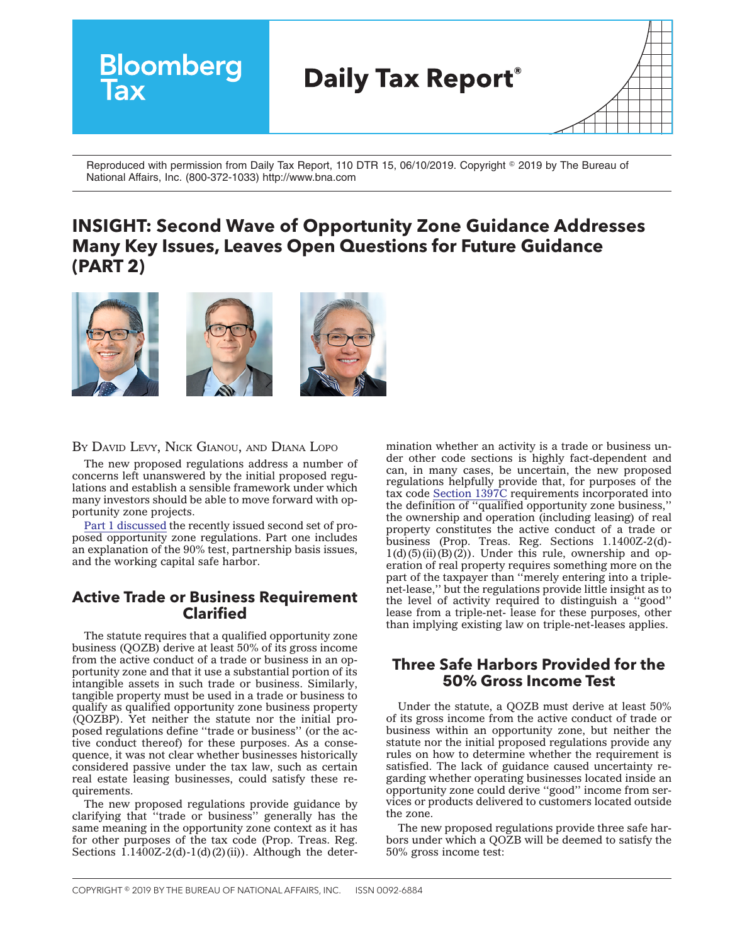

Reproduced with permission from Daily Tax Report, 110 DTR 15, 06/10/2019. Copyright © 2019 by The Bureau of National Affairs, Inc. (800-372-1033) http://www.bna.com

# **INSIGHT: Second Wave of Opportunity Zone Guidance Addresses Many Key Issues, Leaves Open Questions for Future Guidance (PART 2)**



BY DAVID LEVY, NICK GIANOU, AND DIANA LOPO

The new proposed regulations address a number of concerns left unanswered by the initial proposed regulations and establish a sensible framework under which many investors should be able to move forward with opportunity zone projects.

Part 1 [discussed](https://news.bloombergtax.com/daily-tax-report/insight-second-wave-of-opportunity-zone-guidance-addresses-many-key-issues-leaves-open-questions-for-future-guidance-part-1) the recently issued second set of proposed opportunity zone regulations. Part one includes an explanation of the 90% test, partnership basis issues, and the working capital safe harbor.

# **Active Trade or Business Requirement Clarified**

The statute requires that a qualified opportunity zone business (QOZB) derive at least 50% of its gross income from the active conduct of a trade or business in an opportunity zone and that it use a substantial portion of its intangible assets in such trade or business. Similarly, tangible property must be used in a trade or business to qualify as qualified opportunity zone business property (QOZBP). Yet neither the statute nor the initial proposed regulations define ''trade or business'' (or the active conduct thereof) for these purposes. As a consequence, it was not clear whether businesses historically considered passive under the tax law, such as certain real estate leasing businesses, could satisfy these requirements.

The new proposed regulations provide guidance by clarifying that ''trade or business'' generally has the same meaning in the opportunity zone context as it has for other purposes of the tax code (Prop. Treas. Reg. Sections  $1.1400Z-2(d)-1(d)(2)(ii)$ . Although the deter-

mination whether an activity is a trade or business under other code sections is highly fact-dependent and can, in many cases, be uncertain, the new proposed regulations helpfully provide that, for purposes of the tax code [Section](https://irc.bloombergtax.com/public/uscode/doc/irc/section_1397c) 1397C requirements incorporated into the definition of ''qualified opportunity zone business,'' the ownership and operation (including leasing) of real property constitutes the active conduct of a trade or business (Prop. Treas. Reg. Sections 1.1400Z-2(d)-  $1(d)(5)(ii)(B)(2)$ . Under this rule, ownership and operation of real property requires something more on the part of the taxpayer than "merely entering into a triplenet-lease,'' but the regulations provide little insight as to the level of activity required to distinguish a ''good'' lease from a triple-net- lease for these purposes, other than implying existing law on triple-net-leases applies.

## **Three Safe Harbors Provided for the 50% Gross Income Test**

Under the statute, a QOZB must derive at least 50% of its gross income from the active conduct of trade or business within an opportunity zone, but neither the statute nor the initial proposed regulations provide any rules on how to determine whether the requirement is satisfied. The lack of guidance caused uncertainty regarding whether operating businesses located inside an opportunity zone could derive ''good'' income from services or products delivered to customers located outside the zone.

The new proposed regulations provide three safe harbors under which a QOZB will be deemed to satisfy the 50% gross income test: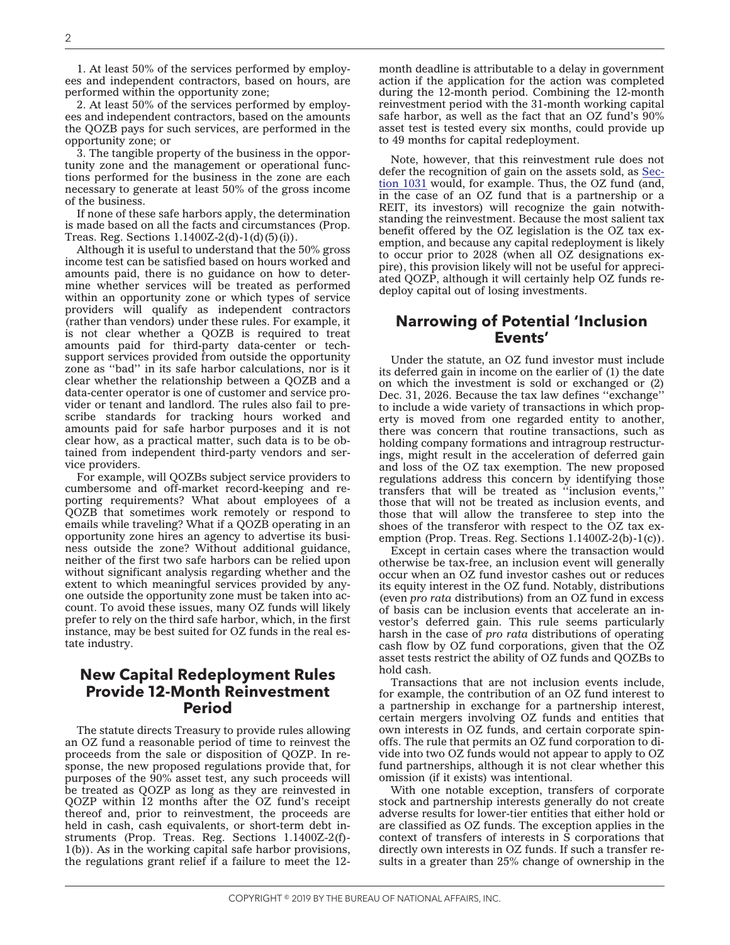1. At least 50% of the services performed by employees and independent contractors, based on hours, are performed within the opportunity zone;

2. At least 50% of the services performed by employees and independent contractors, based on the amounts the QOZB pays for such services, are performed in the opportunity zone; or

3. The tangible property of the business in the opportunity zone and the management or operational functions performed for the business in the zone are each necessary to generate at least 50% of the gross income of the business.

If none of these safe harbors apply, the determination is made based on all the facts and circumstances (Prop. Treas. Reg. Sections  $1.1400Z-2(d)-1(d)(5)(i)$ .

Although it is useful to understand that the 50% gross income test can be satisfied based on hours worked and amounts paid, there is no guidance on how to determine whether services will be treated as performed within an opportunity zone or which types of service providers will qualify as independent contractors (rather than vendors) under these rules. For example, it is not clear whether a QOZB is required to treat amounts paid for third-party data-center or techsupport services provided from outside the opportunity zone as ''bad'' in its safe harbor calculations, nor is it clear whether the relationship between a QOZB and a data-center operator is one of customer and service provider or tenant and landlord. The rules also fail to prescribe standards for tracking hours worked and amounts paid for safe harbor purposes and it is not clear how, as a practical matter, such data is to be obtained from independent third-party vendors and service providers.

For example, will QOZBs subject service providers to cumbersome and off-market record-keeping and reporting requirements? What about employees of a QOZB that sometimes work remotely or respond to emails while traveling? What if a QOZB operating in an opportunity zone hires an agency to advertise its business outside the zone? Without additional guidance, neither of the first two safe harbors can be relied upon without significant analysis regarding whether and the extent to which meaningful services provided by anyone outside the opportunity zone must be taken into account. To avoid these issues, many OZ funds will likely prefer to rely on the third safe harbor, which, in the first instance, may be best suited for OZ funds in the real estate industry.

### **New Capital Redeployment Rules Provide 12-Month Reinvestment Period**

The statute directs Treasury to provide rules allowing an OZ fund a reasonable period of time to reinvest the proceeds from the sale or disposition of QOZP. In response, the new proposed regulations provide that, for purposes of the 90% asset test, any such proceeds will be treated as QOZP as long as they are reinvested in QOZP within 12 months after the OZ fund's receipt thereof and, prior to reinvestment, the proceeds are held in cash, cash equivalents, or short-term debt instruments (Prop. Treas. Reg. Sections 1.1400Z-2(f)- 1(b)). As in the working capital safe harbor provisions, the regulations grant relief if a failure to meet the 12-

month deadline is attributable to a delay in government action if the application for the action was completed during the 12-month period. Combining the 12-month reinvestment period with the 31-month working capital safe harbor, as well as the fact that an OZ fund's 90% asset test is tested every six months, could provide up to 49 months for capital redeployment.

Note, however, that this reinvestment rule does not defer the recognition of gain on the assets sold, as [Sec](https://irc.bloombergtax.com/public/uscode/doc/irc/section_1031)tion [1031](https://irc.bloombergtax.com/public/uscode/doc/irc/section_1031) would, for example. Thus, the OZ fund (and, in the case of an OZ fund that is a partnership or a REIT, its investors) will recognize the gain notwithstanding the reinvestment. Because the most salient tax benefit offered by the OZ legislation is the OZ tax exemption, and because any capital redeployment is likely to occur prior to 2028 (when all OZ designations expire), this provision likely will not be useful for appreciated QOZP, although it will certainly help OZ funds redeploy capital out of losing investments.

#### **Narrowing of Potential 'Inclusion Events'**

Under the statute, an OZ fund investor must include its deferred gain in income on the earlier of (1) the date on which the investment is sold or exchanged or (2) Dec. 31, 2026. Because the tax law defines ''exchange'' to include a wide variety of transactions in which property is moved from one regarded entity to another, there was concern that routine transactions, such as holding company formations and intragroup restructurings, might result in the acceleration of deferred gain and loss of the OZ tax exemption. The new proposed regulations address this concern by identifying those transfers that will be treated as ''inclusion events,'' those that will not be treated as inclusion events, and those that will allow the transferee to step into the shoes of the transferor with respect to the OZ tax exemption (Prop. Treas. Reg. Sections 1.1400Z-2(b)-1(c)).

Except in certain cases where the transaction would otherwise be tax-free, an inclusion event will generally occur when an OZ fund investor cashes out or reduces its equity interest in the OZ fund. Notably, distributions (even *pro rata* distributions) from an OZ fund in excess of basis can be inclusion events that accelerate an investor's deferred gain. This rule seems particularly harsh in the case of *pro rata* distributions of operating cash flow by OZ fund corporations, given that the OZ asset tests restrict the ability of OZ funds and QOZBs to hold cash.

Transactions that are not inclusion events include, for example, the contribution of an OZ fund interest to a partnership in exchange for a partnership interest, certain mergers involving OZ funds and entities that own interests in OZ funds, and certain corporate spinoffs. The rule that permits an OZ fund corporation to divide into two OZ funds would not appear to apply to OZ fund partnerships, although it is not clear whether this omission (if it exists) was intentional.

With one notable exception, transfers of corporate stock and partnership interests generally do not create adverse results for lower-tier entities that either hold or are classified as OZ funds. The exception applies in the context of transfers of interests in S corporations that directly own interests in OZ funds. If such a transfer results in a greater than 25% change of ownership in the